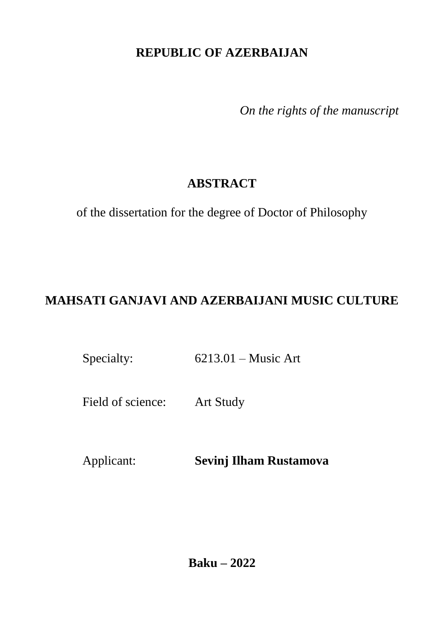## **REPUBLIC OF AZERBAIJAN**

*On the rights of the manuscript*

## **ABSTRACT**

of the dissertation for the degree of Doctor of Philosophy

# **MAHSATI GANJAVI AND AZERBAIJANI MUSIC CULTURE**

Specialty: 6213.01 – Music Art

Field of science: Art Study

Applicant: **Sevinj Ilham Rustamova**

**Baku – 2022**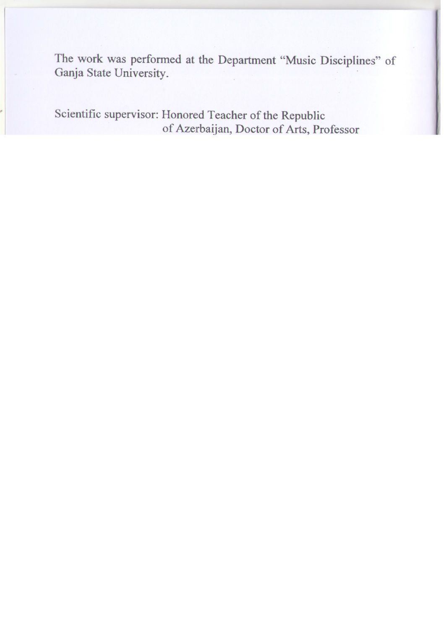The work was performed at the Department "Music Disciplines" of Ganja State University.

|                     | Scientific supervisor: Honored Teacher of the Republic<br>of Azerbaijan, Doctor of Arts, Professor<br>Sevda Firuddin Gurbanaliyeva |
|---------------------|------------------------------------------------------------------------------------------------------------------------------------|
| Official opponents: | Doctor of Arts, Professor<br><b>Gulzar Rafig Mahmudova</b>                                                                         |
|                     | Doctor of Philosophy on Art Study, Professor<br>Ulkar Kamal Talibzada                                                              |
|                     | Doctor of Philosophy on Art Study,<br><b>Associate Professor</b><br>Leyla Zaki Guliyeva                                            |

Dissertation council FD 2.36 of the Supreme Attestation Commission under the President of the Republic of Azerbaijan operating at Baku Music Academy named after U.Hajibeyli

| Chairman of the                                      | People's Artist, Professor                                                                |
|------------------------------------------------------|-------------------------------------------------------------------------------------------|
| Dissertation council:                                | <b>Farhad Shamsi Badalbeyli</b>                                                           |
| Scientific secretary of the<br>Dissertation council: | Doctor of Philosophy on Art Study,<br><b>Associate Professor</b><br>Leyla Ramiz Zohrabova |
| Chairman of the                                      | Doctor of Arts, Professor                                                                 |
| scientific seminar:                                  | <b>Imruz Mammad Sadikh Afendiyeva</b>                                                     |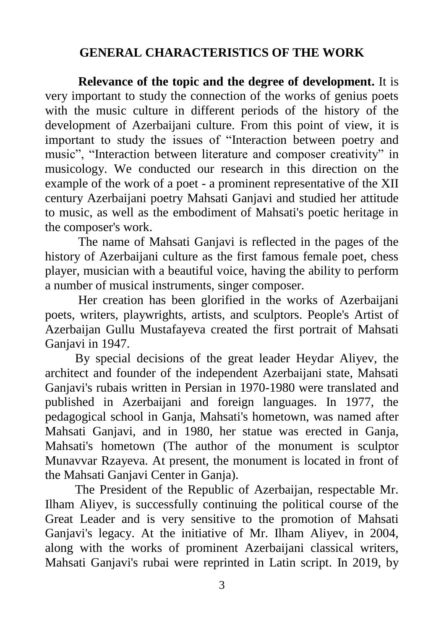### **GENERAL CHARACTERISTICS OF THE WORK**

**Relevance of the topic and the degree of development.** It is very important to study the connection of the works of genius poets with the music culture in different periods of the history of the development of Azerbaijani culture. From this point of view, it is important to study the issues of "Interaction between poetry and music", "Interaction between literature and composer creativity" in musicology. We conducted our research in this direction on the example of the work of a poet - a prominent representative of the XII century Azerbaijani poetry Mahsati Ganjavi and studied her attitude to music, as well as the embodiment of Mahsati's poetic heritage in the composer's work.

The name of Mahsati Ganjavi is reflected in the pages of the history of Azerbaijani culture as the first famous female poet, chess player, musician with a beautiful voice, having the ability to perform a number of musical instruments, singer composer.

Her creation has been glorified in the works of Azerbaijani poets, writers, playwrights, artists, and sculptors. People's Artist of Azerbaijan Gullu Mustafayeva created the first portrait of Mahsati Ganjavi in 1947.

By special decisions of the great leader Heydar Aliyev, the architect and founder of the independent Azerbaijani state, Mahsati Ganjavi's rubais written in Persian in 1970-1980 were translated and published in Azerbaijani and foreign languages. In 1977, the pedagogical school in Ganja, Mahsati's hometown, was named after Mahsati Ganjavi, and in 1980, her statue was erected in Ganja, Mahsati's hometown (The author of the monument is sculptor Munavvar Rzayeva. At present, the monument is located in front of the Mahsati Ganjavi Center in Ganja).

The President of the Republic of Azerbaijan, respectable Mr. Ilham Aliyev, is successfully continuing the political course of the Great Leader and is very sensitive to the promotion of Mahsati Ganjavi's legacy. At the initiative of Mr. Ilham Aliyev, in 2004, along with the works of prominent Azerbaijani classical writers, Mahsati Ganjavi's rubai were reprinted in Latin script. In 2019, by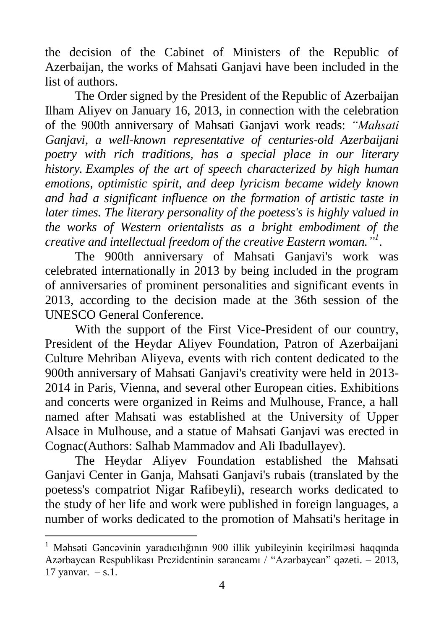the decision of the Cabinet of Ministers of the Republic of Azerbaijan, the works of Mahsati Ganjavi have been included in the list of authors.

The Order signed by the President of the Republic of Azerbaijan Ilham Aliyev on January 16, 2013, in connection with the celebration of the 900th anniversary of Mahsati Ganjavi work reads: *"Mahsati Ganjavi, a well-known representative of centuries-old Azerbaijani poetry with rich traditions, has a special place in our literary history. Examples of the art of speech characterized by high human emotions, optimistic spirit, and deep lyricism became widely known and had a significant influence on the formation of artistic taste in later times. The literary personality of the poetess's is highly valued in the works of Western orientalists as a bright embodiment of the creative and intellectual freedom of the creative Eastern woman." 1* .

The 900th anniversary of Mahsati Ganjavi's work was celebrated internationally in 2013 by being included in the program of anniversaries of prominent personalities and significant events in 2013, according to the decision made at the 36th session of the UNESCO General Conference.

With the support of the First Vice-President of our country, President of the Heydar Aliyev Foundation, Patron of Azerbaijani Culture Mehriban Aliyeva, events with rich content dedicated to the 900th anniversary of Mahsati Ganjavi's creativity were held in 2013- 2014 in Paris, Vienna, and several other European cities. Exhibitions and concerts were organized in Reims and Mulhouse, France, a hall named after Mahsati was established at the University of Upper Alsace in Mulhouse, and a statue of Mahsati Ganjavi was erected in Cognac(Authors: Salhab Mammadov and Ali Ibadullayev).

The Heydar Aliyev Foundation established the Mahsati Ganjavi Center in Ganja, Mahsati Ganjavi's rubais (translated by the poetess's compatriot Nigar Rafibeyli), research works dedicated to the study of her life and work were published in foreign languages, a number of works dedicated to the promotion of Mahsati's heritage in

<sup>1</sup> Məhsəti Gəncəvinin yaradıcılığının 900 illik yubileyinin keçirilməsi haqqında Azərbaycan Respublikası Prezidentinin sərəncamı / "Azərbaycan" qəzeti. – 2013, 17 yanvar. – s.1.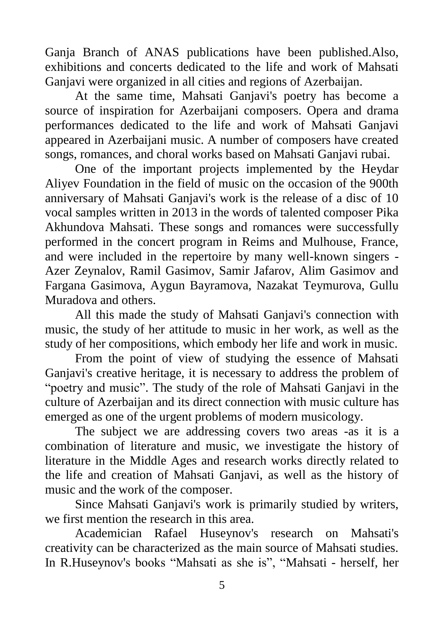Ganja Branch of ANAS publications have been published.Also, exhibitions and concerts dedicated to the life and work of Mahsati Ganjavi were organized in all cities and regions of Azerbaijan.

At the same time, Mahsati Ganjavi's poetry has become a source of inspiration for Azerbaijani composers. Opera and drama performances dedicated to the life and work of Mahsati Ganjavi appeared in Azerbaijani music. A number of composers have created songs, romances, and choral works based on Mahsati Ganjavi rubai.

One of the important projects implemented by the Heydar Aliyev Foundation in the field of music on the occasion of the 900th anniversary of Mahsati Ganjavi's work is the release of a disc of 10 vocal samples written in 2013 in the words of talented composer Pika Akhundova Mahsati. These songs and romances were successfully performed in the concert program in Reims and Mulhouse, France, and were included in the repertoire by many well-known singers - Azer Zeynalov, Ramil Gasimov, Samir Jafarov, Alim Gasimov and Fargana Gasimova, Aygun Bayramova, Nazakat Teymurova, Gullu Muradova and others.

All this made the study of Mahsati Ganjavi's connection with music, the study of her attitude to music in her work, as well as the study of her compositions, which embody her life and work in music.

From the point of view of studying the essence of Mahsati Ganjavi's creative heritage, it is necessary to address the problem of "poetry and music". The study of the role of Mahsati Ganjavi in the culture of Azerbaijan and its direct connection with music culture has emerged as one of the urgent problems of modern musicology.

The subject we are addressing covers two areas -as it is a combination of literature and music, we investigate the history of literature in the Middle Ages and research works directly related to the life and creation of Mahsati Ganjavi, as well as the history of music and the work of the composer.

Since Mahsati Ganjavi's work is primarily studied by writers, we first mention the research in this area.

Academician Rafael Huseynov's research on Mahsati's creativity can be characterized as the main source of Mahsati studies. In R.Huseynov's books "Mahsati as she is", "Mahsati - herself, her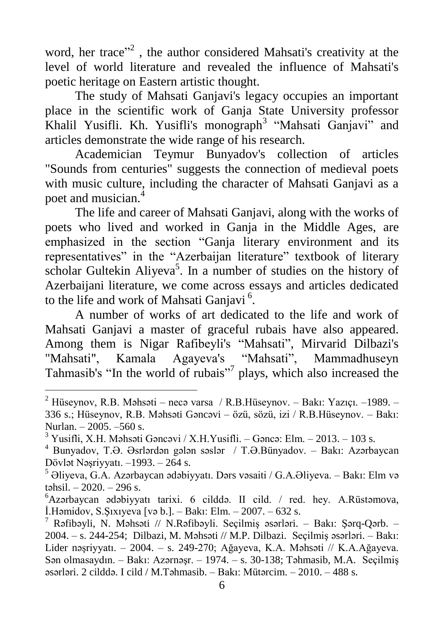word, her trace"<sup>2</sup>, the author considered Mahsati's creativity at the level of world literature and revealed the influence of Mahsati's poetic heritage on Eastern artistic thought.

The study of Mahsati Ganjavi's legacy occupies an important place in the scientific work of Ganja State University professor Khalil Yusifli. Kh. Yusifli's monograph<sup>3</sup> "Mahsati Ganjavi" and articles demonstrate the wide range of his research.

Academician Teymur Bunyadov's collection of articles "Sounds from centuries" suggests the connection of medieval poets with music culture, including the character of Mahsati Ganjavi as a poet and musician.<sup>4</sup>

The life and career of Mahsati Ganjavi, along with the works of poets who lived and worked in Ganja in the Middle Ages, are emphasized in the section "Ganja literary environment and its representatives" in the "Azerbaijan literature" textbook of literary scholar Gultekin Aliyeva<sup>5</sup>. In a number of studies on the history of Azerbaijani literature, we come across essays and articles dedicated to the life and work of Mahsati Ganjavi<sup>6</sup>.

A number of works of art dedicated to the life and work of Mahsati Ganjavi a master of graceful rubais have also appeared. Among them is Nigar Rafibeyli's "Mahsati", Mirvarid Dilbazi's "Mahsati", Kamala Agayeva's "Mahsati", Mammadhuseyn Tahmasib's "In the world of rubais"<sup>7</sup> plays, which also increased the

<sup>&</sup>lt;sup>2</sup> Hüseynov, R.B. Məhsəti – necə varsa / R.B.Hüseynov. – Bakı: Yazıçı. –1989. – 336 s.; Hüseynov, R.B. Məhsəti Gəncəvi – özü, sözü, izi / R.B.Hüseynov. – Bakı: Nurlan. – 2005. –560 s.

 $3$  Yusifli, X.H. Məhsəti Gəncəvi / X.H. Yusifli. – Gəncə: Elm. – 2013. – 103 s.

<sup>4</sup> Bunyadov, T.Ə. Əsrlərdən gələn səslər / T.Ə.Bünyadov. – Bakı: Azərbaycan Dövlət Nəşriyyatı. –1993. – 264 s.

<sup>5</sup> Əliyeva, G.A. Azərbaycan ədəbiyyatı. Dərs vəsaiti / G.A.Əliyeva. – Bakı: Elm və təhsil.  $-2020 - 296$  s.

<sup>6</sup>Azərbaycan ədəbiyyatı tarixi. 6 cilddə. II cild. / red. hey. A.Rüstəmova, İ.Həmidov, S.Şıxıyeva [və b.]. – Bakı: Elm. – 2007. – 632 s.

<sup>&</sup>lt;sup>7</sup> Rəfibəyli, N. Məhsəti // N.Rəfibəyli. Seçilmiş əsərləri. – Bakı: Şərq-Qərb. – 2004. – s. 244-254; Dilbazi, M. Məhsəti // M.P. Dilbazi. Seçilmiş əsərləri. – Bakı: Lider nəşriyyatı. – 2004. – s. 249-270; Ağayeva, K.A. Məhsəti // K.A.Ağayeva. Sən olmasaydın. – Bakı: Azərnəşr. – 1974. – s. 30-138; Təhmasib, M.A. Seçilmiş əsərləri. 2 cilddə. I cild / M.Təhmasib. – Bakı: Mütərcim. – 2010. – 488 s.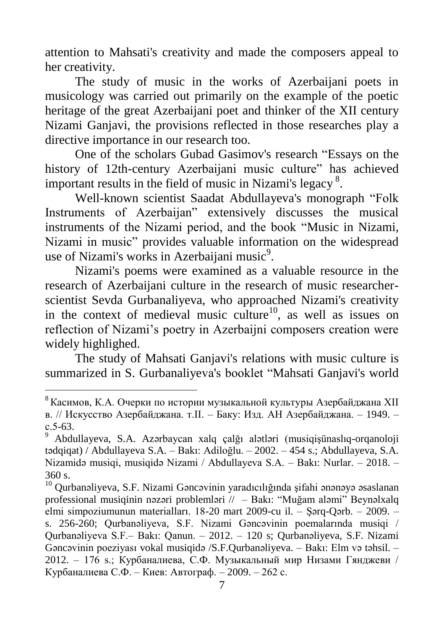attention to Mahsati's creativity and made the composers appeal to her creativity.

The study of music in the works of Azerbaijani poets in musicology was carried out primarily on the example of the poetic heritage of the great Azerbaijani poet and thinker of the XII century Nizami Ganjavi, the provisions reflected in those researches play a directive importance in our research too.

One of the scholars Gubad Gasimov's research "Essays on the history of 12th-century Azerbaijani music culture" has achieved important results in the field of music in Nizami's legacy  $8$ .

Well-known scientist Saadat Abdullayeva's monograph "Folk Instruments of Azerbaijan" extensively discusses the musical instruments of the Nizami period, and the book "Music in Nizami, Nizami in music" provides valuable information on the widespread use of Nizami's works in Azerbaijani music<sup>9</sup>.

Nizami's poems were examined as a valuable resource in the research of Azerbaijani culture in the research of music researcherscientist Sevda Gurbanaliyeva, who approached Nizami's creativity in the context of medieval music culture<sup>10</sup>, as well as issues on reflection of Nizami"s poetry in Azerbaijni composers creation were widely highlighed.

The study of Mahsati Ganjavi's relations with music culture is summarized in S. Gurbanaliyeva's booklet "Mahsati Ganjavi's world

 $8$  Касимов. К.А. Очерки по истории музыкальной культуры Азербайджана XII в. // Искусство Азербайджана. т.II. – Баку: Изд. АН Азербайджана. – 1949. – с.5-63.

<sup>9</sup> Abdullayeva, S.A. Azərbaycan xalq çalğı alətləri (musiqişünaslıq-orqanoloji tədqiqat) / Abdullayeva S.A. – Bakı: Adiloğlu. – 2002. – 454 s.; Abdullayeva, S.A. Nizamidə musiqi, musiqidə Nizami / Abdullayeva S.A. – Bakı: Nurlar. – 2018. – 360 s.

<sup>&</sup>lt;sup>10</sup> Ourbanəliyeva, S.F. Nizami Gəncəvinin yaradıcılığında şifahi ənənəyə əsaslanan professional musiqinin nəzəri problemləri // – Bakı: "Muğam aləmi" Beynəlxalq elmi simpoziumunun materialları. 18-20 mart 2009-cu il. – Şərq-Qərb. – 2009. – s. 256-260; Qurbanəliyeva, S.F. Nizami Gəncəvinin poemalarında musiqi / Qurbanəliyeva S.F.– Bakı: Qanun. – 2012. – 120 s; Qurbanəliyeva, S.F. Nizami Gəncəvinin poeziyası vokal musiqidə /S.F.Qurbanəliyeva. – Bakı: Elm və təhsil. – 2012. – 176 s.; Курбаналиева, С.Ф. Музыкальный мир Низами Гянджеви / Курбаналиева С.Ф. – Киев: Автограф. – 2009. – 262 с.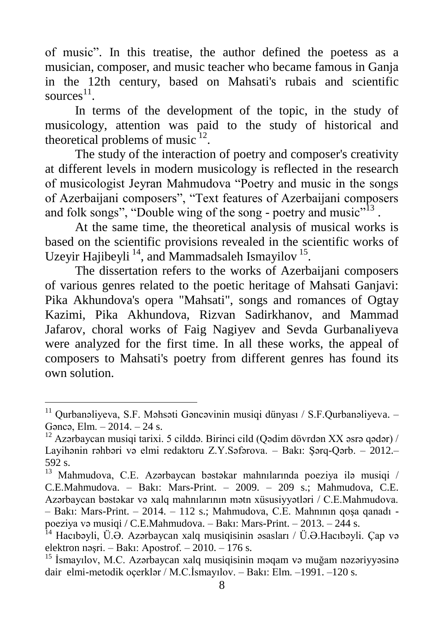of music". In this treatise, the author defined the poetess as a musician, composer, and music teacher who became famous in Ganja in the 12th century, based on Mahsati's rubais and scientific sources $^{11}$ .

In terms of the development of the topic, in the study of musicology, attention was paid to the study of historical and theoretical problems of music $^{12}$ .

The study of the interaction of poetry and composer's creativity at different levels in modern musicology is reflected in the research of musicologist Jeyran Mahmudova "Poetry and music in the songs of Azerbaijani composers", "Text features of Azerbaijani composers and folk songs", "Double wing of the song - poetry and music"<sup>13</sup>.

At the same time, the theoretical analysis of musical works is based on the scientific provisions revealed in the scientific works of Uzeyir Hajibeyli<sup>14</sup>, and Mammadsaleh Ismayilov<sup>15</sup>.

The dissertation refers to the works of Azerbaijani composers of various genres related to the poetic heritage of Mahsati Ganjavi: Pika Akhundova's opera "Mahsati", songs and romances of Ogtay Kazimi, Pika Akhundova, Rizvan Sadirkhanov, and Mammad Jafarov, choral works of Faig Nagiyev and Sevda Gurbanaliyeva were analyzed for the first time. In all these works, the appeal of composers to Mahsati's poetry from different genres has found its own solution.

<sup>&</sup>lt;sup>11</sup> Ourbanəliveva. S.F. Məhsəti Gəncəvinin musiqi dünyası / S.F.Qurbanəliyeva. -Gəncə, Elm. – 2014. – 24 s.

 $12$  Azərbaycan musiqi tarixi. 5 cilddə. Birinci cild (Qədim dövrdən XX əsrə qədər) / Layihənin rəhbəri və elmi redaktoru Z.Y.Səfərova. – Bakı: Şərq-Qərb. – 2012.– 592 s.

<sup>13</sup> Mahmudova, C.E. Azərbaycan bəstəkar mahnılarında poeziya ilə musiqi / C.E.Mahmudova. – Bakı: Mars-Print. – 2009. – 209 s.; Mahmudova, C.E. Azərbaycan bəstəkar və xalq mahnılarının mətn xüsusiyyətləri / C.E.Mahmudova. – Bakı: Mars-Print. – 2014. – 112 s.; Mahmudova, C.E. Mahnının qoşa qanadı poeziya və musiqi / C.E.Mahmudova. – Bakı: Mars-Print. – 2013. – 244 s.

<sup>&</sup>lt;sup>14</sup> Hacıbəyli, Ü.Ə. Azərbaycan xalq musiqisinin əsasları / Ü.Ə.Hacıbəyli. Çap və elektron nəşri. – Bakı: Apostrof. – 2010. – 176 s.

<sup>&</sup>lt;sup>15</sup> İsmavılov, M.C. Azərbaycan xalq musiqisinin məqam və muğam nəzəriyyəsinə dair elmi-metodik oçerklər / M.C.İsmayılov. – Bakı: Elm. –1991. –120 s.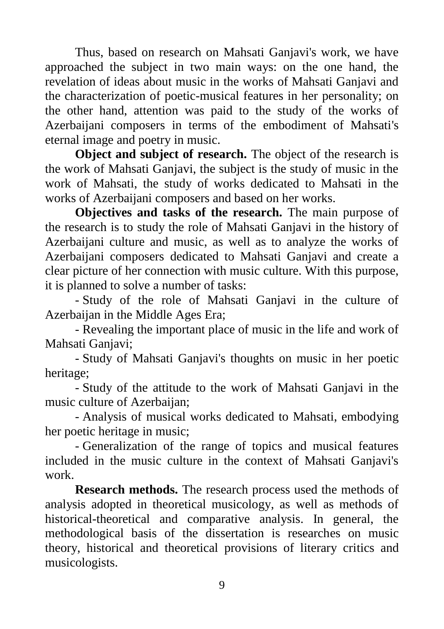Thus, based on research on Mahsati Ganjavi's work, we have approached the subject in two main ways: on the one hand, the revelation of ideas about music in the works of Mahsati Ganjavi and the characterization of poetic-musical features in her personality; on the other hand, attention was paid to the study of the works of Azerbaijani composers in terms of the embodiment of Mahsati's eternal image and poetry in music.

**Object and subject of research.** The object of the research is the work of Mahsati Ganjavi, the subject is the study of music in the work of Mahsati, the study of works dedicated to Mahsati in the works of Azerbaijani composers and based on her works.

**Objectives and tasks of the research.** The main purpose of the research is to study the role of Mahsati Ganjavi in the history of Azerbaijani culture and music, as well as to analyze the works of Azerbaijani composers dedicated to Mahsati Ganjavi and create a clear picture of her connection with music culture. With this purpose, it is planned to solve a number of tasks:

- Study of the role of Mahsati Ganjavi in the culture of Azerbaijan in the Middle Ages Era;

- Revealing the important place of music in the life and work of Mahsati Ganjavi;

- Study of Mahsati Ganjavi's thoughts on music in her poetic heritage;

- Study of the attitude to the work of Mahsati Ganjavi in the music culture of Azerbaijan;

- Analysis of musical works dedicated to Mahsati, embodying her poetic heritage in music;

- Generalization of the range of topics and musical features included in the music culture in the context of Mahsati Ganjavi's work.

**Research methods.** The research process used the methods of analysis adopted in theoretical musicology, as well as methods of historical-theoretical and comparative analysis. In general, the methodological basis of the dissertation is researches on music theory, historical and theoretical provisions of literary critics and musicologists.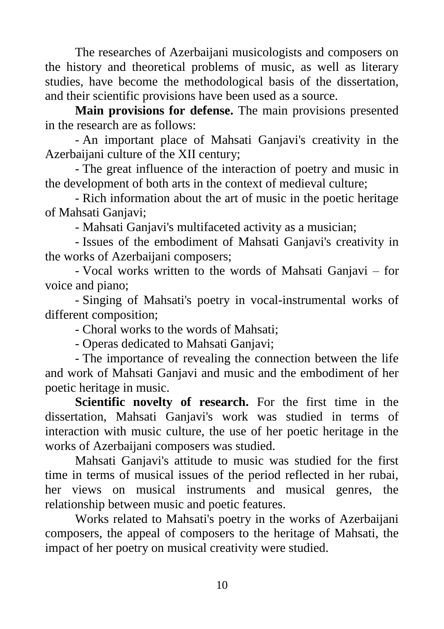The researches of Azerbaijani musicologists and composers on the history and theoretical problems of music, as well as literary studies, have become the methodological basis of the dissertation, and their scientific provisions have been used as a source.

**Main provisions for defense.** The main provisions presented in the research are as follows:

- An important place of Mahsati Ganjavi's creativity in the Azerbaijani culture of the XII century;

- The great influence of the interaction of poetry and music in the development of both arts in the context of medieval culture;

- Rich information about the art of music in the poetic heritage of Mahsati Ganjavi;

- Mahsati Ganjavi's multifaceted activity as a musician;

- Issues of the embodiment of Mahsati Ganjavi's creativity in the works of Azerbaijani composers;

- Vocal works written to the words of Mahsati Ganjavi – for voice and piano;

- Singing of Mahsati's poetry in vocal-instrumental works of different composition;

- Choral works to the words of Mahsati;

- Operas dedicated to Mahsati Ganjavi;

- The importance of revealing the connection between the life and work of Mahsati Ganjavi and music and the embodiment of her poetic heritage in music.

**Scientific novelty of research.** For the first time in the dissertation, Mahsati Ganjavi's work was studied in terms of interaction with music culture, the use of her poetic heritage in the works of Azerbaijani composers was studied.

Mahsati Ganjavi's attitude to music was studied for the first time in terms of musical issues of the period reflected in her rubai, her views on musical instruments and musical genres, the relationship between music and poetic features.

Works related to Mahsati's poetry in the works of Azerbaijani composers, the appeal of composers to the heritage of Mahsati, the impact of her poetry on musical creativity were studied.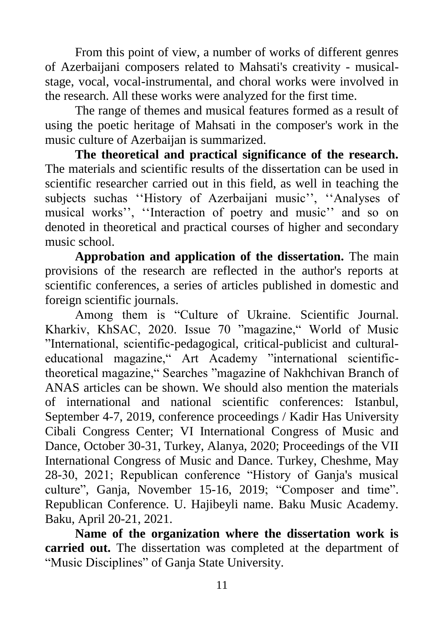From this point of view, a number of works of different genres of Azerbaijani composers related to Mahsati's creativity - musicalstage, vocal, vocal-instrumental, and choral works were involved in the research. All these works were analyzed for the first time.

The range of themes and musical features formed as a result of using the poetic heritage of Mahsati in the composer's work in the music culture of Azerbaijan is summarized.

**The theoretical and practical significance of the research.** The materials and scientific results of the dissertation can be used in scientific researcher carried out in this field, as well in teaching the subjects suchas "History of Azerbaijani music", "Analyses of musical works", "Interaction of poetry and music" and so on denoted in theoretical and practical courses of higher and secondary music school.

**Approbation and application of the dissertation.** The main provisions of the research are reflected in the author's reports at scientific conferences, a series of articles published in domestic and foreign scientific journals.

Among them is "Culture of Ukraine. Scientific Journal. Kharkiv, KhSAC, 2020. Issue 70 "magazine," World of Music "International, scientific-pedagogical, critical-publicist and culturaleducational magazine," Art Academy "international scientifictheoretical magazine," Searches "magazine of Nakhchivan Branch of ANAS articles can be shown. We should also mention the materials of international and national scientific conferences: Istanbul, September 4-7, 2019, conference proceedings / Kadir Has University Cibali Congress Center; VI International Congress of Music and Dance, October 30-31, Turkey, Alanya, 2020; Proceedings of the VII International Congress of Music and Dance. Turkey, Cheshme, May 28-30, 2021; Republican conference "History of Ganja's musical culture", Ganja, November 15-16, 2019; "Composer and time". Republican Conference. U. Hajibeyli name. Baku Music Academy. Baku, April 20-21, 2021.

**Name of the organization where the dissertation work is carried out.** The dissertation was completed at the department of "Music Disciplines" of Ganja State University.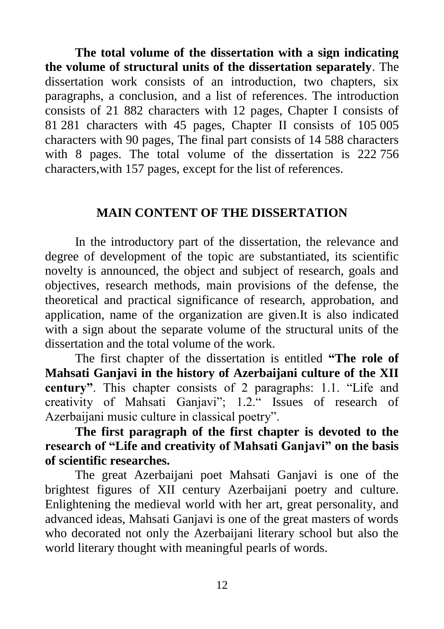**The total volume of the dissertation with a sign indicating the volume of structural units of the dissertation separately**. The dissertation work consists of an introduction, two chapters, six paragraphs, a conclusion, and a list of references. The introduction consists of 21 882 characters with 12 pages, Chapter I consists of 81 281 characters with 45 pages, Chapter II consists of 105 005 characters with 90 pages, The final part consists of 14 588 characters with 8 pages. The total volume of the dissertation is 222 756 characters,with 157 pages, except for the list of references.

#### **MAIN CONTENT OF THE DISSERTATION**

In the introductory part of the dissertation, the relevance and degree of development of the topic are substantiated, its scientific novelty is announced, the object and subject of research, goals and objectives, research methods, main provisions of the defense, the theoretical and practical significance of research, approbation, and application, name of the organization are given.It is also indicated with a sign about the separate volume of the structural units of the dissertation and the total volume of the work.

The first chapter of the dissertation is entitled **"The role of Mahsati Ganjavi in the history of Azerbaijani culture of the XII century"**. This chapter consists of 2 paragraphs: 1.1. "Life and creativity of Mahsati Ganjavi"; 1.2." Issues of research of Azerbaijani music culture in classical poetry".

**The first paragraph of the first chapter is devoted to the research of "Life and creativity of Mahsati Ganjavi" on the basis of scientific researches.**

The great Azerbaijani poet Mahsati Ganjavi is one of the brightest figures of XII century Azerbaijani poetry and culture. Enlightening the medieval world with her art, great personality, and advanced ideas, Mahsati Ganjavi is one of the great masters of words who decorated not only the Azerbaijani literary school but also the world literary thought with meaningful pearls of words.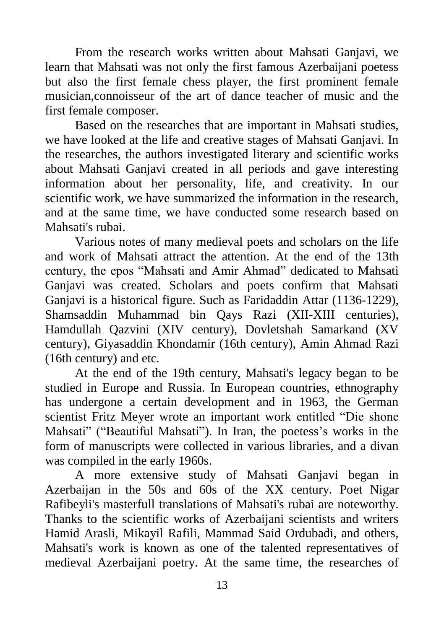From the research works written about Mahsati Ganjavi, we learn that Mahsati was not only the first famous Azerbaijani poetess but also the first female chess player, the first prominent female musician,connoisseur of the art of dance teacher of music and the first female composer.

Based on the researches that are important in Mahsati studies, we have looked at the life and creative stages of Mahsati Ganjavi. In the researches, the authors investigated literary and scientific works about Mahsati Ganjavi created in all periods and gave interesting information about her personality, life, and creativity. In our scientific work, we have summarized the information in the research, and at the same time, we have conducted some research based on Mahsati's rubai.

Various notes of many medieval poets and scholars on the life and work of Mahsati attract the attention. At the end of the 13th century, the epos "Mahsati and Amir Ahmad" dedicated to Mahsati Ganjavi was created. Scholars and poets confirm that Mahsati Ganjavi is a historical figure. Such as Faridaddin Attar (1136-1229), Shamsaddin Muhammad bin Qays Razi (XII-XIII centuries), Hamdullah Qazvini (XIV century), Dovletshah Samarkand (XV century), Giyasaddin Khondamir (16th century), Amin Ahmad Razi (16th century) and etc*.*

At the end of the 19th century, Mahsati's legacy began to be studied in Europe and Russia. In European countries, ethnography has undergone a certain development and in 1963, the German scientist Fritz Meyer wrote an important work entitled "Die shone Mahsati" ("Beautiful Mahsati"). In Iran, the poetess's works in the form of manuscripts were collected in various libraries, and a divan was compiled in the early 1960s.

A more extensive study of Mahsati Ganjavi began in Azerbaijan in the 50s and 60s of the XX century. Poet Nigar Rafibeyli's masterfull translations of Mahsati's rubai are noteworthy. Thanks to the scientific works of Azerbaijani scientists and writers Hamid Arasli, Mikayil Rafili, Mammad Said Ordubadi, and others, Mahsati's work is known as one of the talented representatives of medieval Azerbaijani poetry. At the same time, the researches of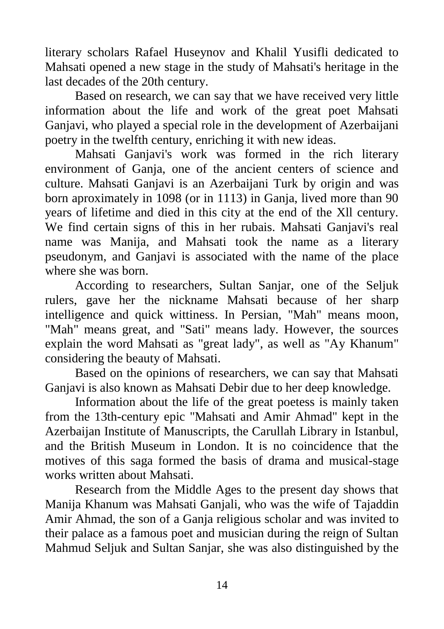literary scholars Rafael Huseynov and Khalil Yusifli dedicated to Mahsati opened a new stage in the study of Mahsati's heritage in the last decades of the 20th century.

Based on research, we can say that we have received very little information about the life and work of the great poet Mahsati Ganjavi, who played a special role in the development of Azerbaijani poetry in the twelfth century, enriching it with new ideas.

Mahsati Ganjavi's work was formed in the rich literary environment of Ganja, one of the ancient centers of science and culture. Mahsati Ganjavi is an Azerbaijani Turk by origin and was born aproximately in 1098 (or in 1113) in Ganja, lived more than 90 years of lifetime and died in this city at the end of the Xll century. We find certain signs of this in her rubais. Mahsati Ganjavi's real name was Manija, and Mahsati took the name as a literary pseudonym, and Ganjavi is associated with the name of the place where she was born.

According to researchers, Sultan Sanjar, one of the Seljuk rulers, gave her the nickname Mahsati because of her sharp intelligence and quick wittiness. In Persian, "Mah" means moon, "Mah" means great, and "Sati" means lady. However, the sources explain the word Mahsati as "great lady", as well as "Ay Khanum" considering the beauty of Mahsati.

Based on the opinions of researchers, we can say that Mahsati Ganjavi is also known as Mahsati Debir due to her deep knowledge.

Information about the life of the great poetess is mainly taken from the 13th-century epic "Mahsati and Amir Ahmad" kept in the Azerbaijan Institute of Manuscripts, the Carullah Library in Istanbul, and the British Museum in London. It is no coincidence that the motives of this saga formed the basis of drama and musical-stage works written about Mahsati.

Research from the Middle Ages to the present day shows that Manija Khanum was Mahsati Ganjali, who was the wife of Tajaddin Amir Ahmad, the son of a Ganja religious scholar and was invited to their palace as a famous poet and musician during the reign of Sultan Mahmud Seljuk and Sultan Sanjar, she was also distinguished by the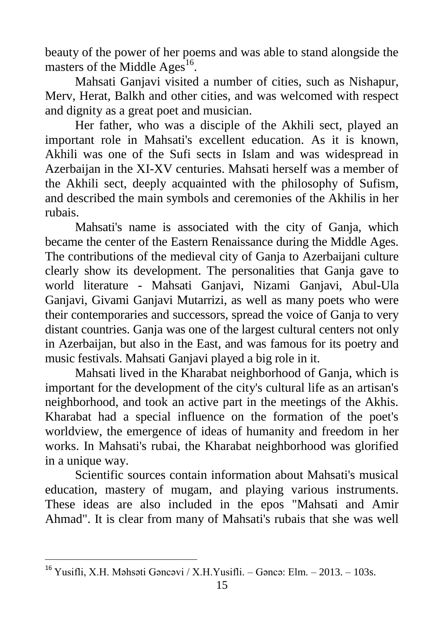beauty of the power of her poems and was able to stand alongside the masters of the Middle  $\text{Ages}^{16}$ .

Mahsati Ganjavi visited a number of cities, such as Nishapur, Merv, Herat, Balkh and other cities, and was welcomed with respect and dignity as a great poet and musician.

Her father, who was a disciple of the Akhili sect, played an important role in Mahsati's excellent education. As it is known, Akhili was one of the Sufi sects in Islam and was widespread in Azerbaijan in the XI-XV centuries. Mahsati herself was a member of the Akhili sect, deeply acquainted with the philosophy of Sufism, and described the main symbols and ceremonies of the Akhilis in her rubais.

Mahsati's name is associated with the city of Ganja, which became the center of the Eastern Renaissance during the Middle Ages. The contributions of the medieval city of Ganja to Azerbaijani culture clearly show its development. The personalities that Ganja gave to world literature - Mahsati Ganjavi, Nizami Ganjavi, Abul-Ula Ganjavi, Givami Ganjavi Mutarrizi, as well as many poets who were their contemporaries and successors, spread the voice of Ganja to very distant countries. Ganja was one of the largest cultural centers not only in Azerbaijan, but also in the East, and was famous for its poetry and music festivals. Mahsati Ganjavi played a big role in it.

Mahsati lived in the Kharabat neighborhood of Ganja, which is important for the development of the city's cultural life as an artisan's neighborhood, and took an active part in the meetings of the Akhis. Kharabat had a special influence on the formation of the poet's worldview, the emergence of ideas of humanity and freedom in her works. In Mahsati's rubai, the Kharabat neighborhood was glorified in a unique way.

Scientific sources contain information about Mahsati's musical education, mastery of mugam, and playing various instruments. These ideas are also included in the epos "Mahsati and Amir Ahmad". It is clear from many of Mahsati's rubais that she was well

<sup>&</sup>lt;sup>16</sup> Yusifli, X.H. Məhsəti Gəncəvi / X.H. Yusifli. – Gəncə: Elm. – 2013. – 103s.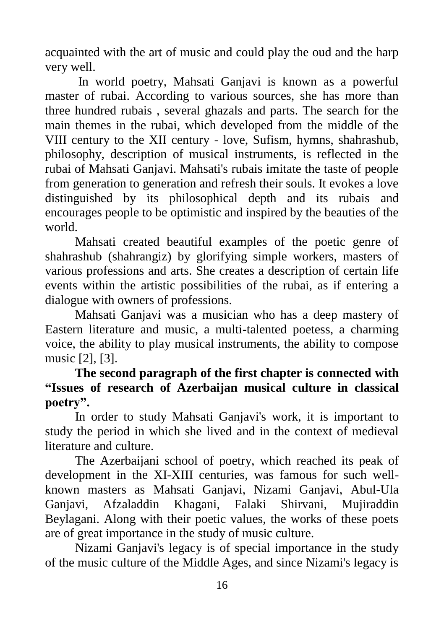acquainted with the art of music and could play the oud and the harp very well.

In world poetry, Mahsati Ganjavi is known as a powerful master of rubai. According to various sources, she has more than three hundred rubais , several ghazals and parts. The search for the main themes in the rubai, which developed from the middle of the VIII century to the XII century - love, Sufism, hymns, shahrashub, philosophy, description of musical instruments, is reflected in the rubai of Mahsati Ganjavi. Mahsati's rubais imitate the taste of people from generation to generation and refresh their souls. It evokes a love distinguished by its philosophical depth and its rubais and encourages people to be optimistic and inspired by the beauties of the world.

Mahsati created beautiful examples of the poetic genre of shahrashub (shahrangiz) by glorifying simple workers, masters of various professions and arts. She creates a description of certain life events within the artistic possibilities of the rubai, as if entering a dialogue with owners of professions.

Mahsati Ganjavi was a musician who has a deep mastery of Eastern literature and music, a multi-talented poetess, a charming voice, the ability to play musical instruments, the ability to compose music [2], [3].

**The second paragraph of the first chapter is connected with "Issues of research of Azerbaijan musical culture in classical poetry".** 

In order to study Mahsati Ganjavi's work, it is important to study the period in which she lived and in the context of medieval literature and culture.

The Azerbaijani school of poetry, which reached its peak of development in the XI-XIII centuries, was famous for such wellknown masters as Mahsati Ganjavi, Nizami Ganjavi, Abul-Ula Ganjavi, Afzaladdin Khagani, Falaki Shirvani, Mujiraddin Beylagani. Along with their poetic values, the works of these poets are of great importance in the study of music culture.

Nizami Ganjavi's legacy is of special importance in the study of the music culture of the Middle Ages, and since Nizami's legacy is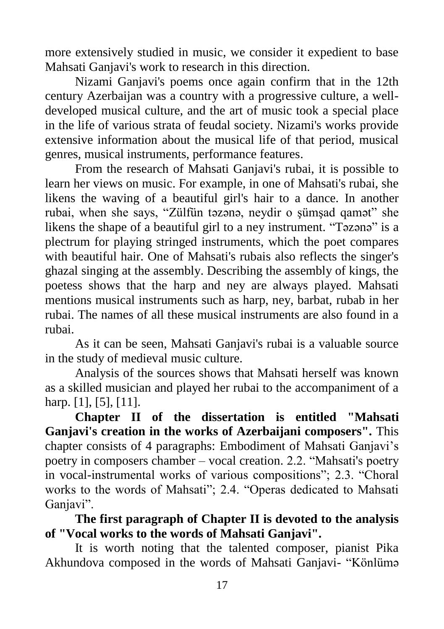more extensively studied in music, we consider it expedient to base Mahsati Ganjavi's work to research in this direction.

Nizami Ganjavi's poems once again confirm that in the 12th century Azerbaijan was a country with a progressive culture, a welldeveloped musical culture, and the art of music took a special place in the life of various strata of feudal society. Nizami's works provide extensive information about the musical life of that period, musical genres, musical instruments, performance features.

From the research of Mahsati Ganjavi's rubai, it is possible to learn her views on music. For example, in one of Mahsati's rubai, she likens the waving of a beautiful girl's hair to a dance. In another rubai, when she says, "Zülfün təzənə, neydir o şümşad qamət" she likens the shape of a beautiful girl to a ney instrument. "Təzənə" is a plectrum for playing stringed instruments, which the poet compares with beautiful hair. One of Mahsati's rubais also reflects the singer's ghazal singing at the assembly. Describing the assembly of kings, the poetess shows that the harp and ney are always played. Mahsati mentions musical instruments such as harp, ney, barbat, rubab in her rubai. The names of all these musical instruments are also found in a rubai.

As it can be seen, Mahsati Ganjavi's rubai is a valuable source in the study of medieval music culture.

Analysis of the sources shows that Mahsati herself was known as a skilled musician and played her rubai to the accompaniment of a harp. [1], [5], [11].

**Chapter II of the dissertation is entitled "Mahsati Ganjavi's creation in the works of Azerbaijani composers".** This chapter consists of 4 paragraphs: Embodiment of Mahsati Ganjavi"s poetry in composers chamber – vocal creation. 2.2. "Mahsati's poetry in vocal-instrumental works of various compositions"; 2.3. "Choral works to the words of Mahsati"; 2.4. "Operas dedicated to Mahsati Ganjavi".

**The first paragraph of Chapter II is devoted to the analysis of "Vocal works to the words of Mahsati Ganjavi".**

It is worth noting that the talented composer, pianist Pika Akhundova composed in the words of Mahsati Ganjavi- "Könlümə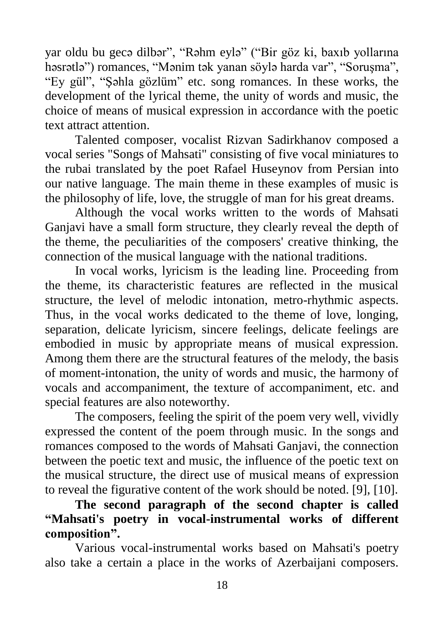yar oldu bu gecə dilbər", "Rəhm eylə" ("Bir göz ki, baxıb yollarına həsrətlə") romances, "Mənim tək yanan söylə harda var", "Soruşma", "Ey gül", "Şəhla gözlüm" etc. song romances. In these works, the development of the lyrical theme, the unity of words and music, the choice of means of musical expression in accordance with the poetic text attract attention.

Talented composer, vocalist Rizvan Sadirkhanov composed a vocal series "Songs of Mahsati" consisting of five vocal miniatures to the rubai translated by the poet Rafael Huseynov from Persian into our native language. The main theme in these examples of music is the philosophy of life, love, the struggle of man for his great dreams.

Although the vocal works written to the words of Mahsati Ganjavi have a small form structure, they clearly reveal the depth of the theme, the peculiarities of the composers' creative thinking, the connection of the musical language with the national traditions.

In vocal works, lyricism is the leading line. Proceeding from the theme, its characteristic features are reflected in the musical structure, the level of melodic intonation, metro-rhythmic aspects. Thus, in the vocal works dedicated to the theme of love, longing, separation, delicate lyricism, sincere feelings, delicate feelings are embodied in music by appropriate means of musical expression. Among them there are the structural features of the melody, the basis of moment-intonation, the unity of words and music, the harmony of vocals and accompaniment, the texture of accompaniment, etc. and special features are also noteworthy.

The composers, feeling the spirit of the poem very well, vividly expressed the content of the poem through music. In the songs and romances composed to the words of Mahsati Ganjavi, the connection between the poetic text and music, the influence of the poetic text on the musical structure, the direct use of musical means of expression to reveal the figurative content of the work should be noted. [9], [10].

**The second paragraph of the second chapter is called "Mahsati's poetry in vocal-instrumental works of different composition".** 

Various vocal-instrumental works based on Mahsati's poetry also take a certain a place in the works of Azerbaijani composers.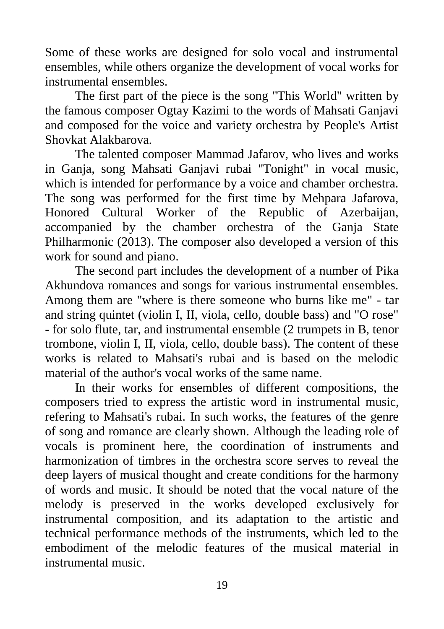Some of these works are designed for solo vocal and instrumental ensembles, while others organize the development of vocal works for instrumental ensembles.

The first part of the piece is the song "This World" written by the famous composer Ogtay Kazimi to the words of Mahsati Ganjavi and composed for the voice and variety orchestra by People's Artist Shovkat Alakbarova.

The talented composer Mammad Jafarov, who lives and works in Ganja, song Mahsati Ganjavi rubai "Tonight" in vocal music, which is intended for performance by a voice and chamber orchestra. The song was performed for the first time by Mehpara Jafarova, Honored Cultural Worker of the Republic of Azerbaijan, accompanied by the chamber orchestra of the Ganja State Philharmonic (2013). The composer also developed a version of this work for sound and piano.

The second part includes the development of a number of Pika Akhundova romances and songs for various instrumental ensembles. Among them are "where is there someone who burns like me" - tar and string quintet (violin I, II, viola, cello, double bass) and "O rose" - for solo flute, tar, and instrumental ensemble (2 trumpets in B, tenor trombone, violin I, II, viola, cello, double bass). The content of these works is related to Mahsati's rubai and is based on the melodic material of the author's vocal works of the same name.

In their works for ensembles of different compositions, the composers tried to express the artistic word in instrumental music, refering to Mahsati's rubai. In such works, the features of the genre of song and romance are clearly shown. Although the leading role of vocals is prominent here, the coordination of instruments and harmonization of timbres in the orchestra score serves to reveal the deep layers of musical thought and create conditions for the harmony of words and music. It should be noted that the vocal nature of the melody is preserved in the works developed exclusively for instrumental composition, and its adaptation to the artistic and technical performance methods of the instruments, which led to the embodiment of the melodic features of the musical material in instrumental music.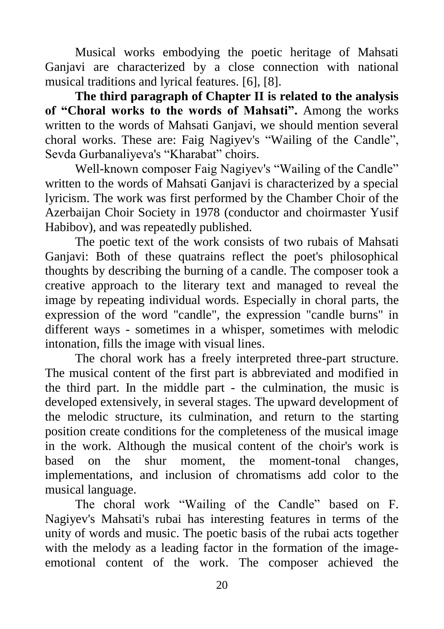Musical works embodying the poetic heritage of Mahsati Ganjavi are characterized by a close connection with national musical traditions and lyrical features. [6], [8].

**The third paragraph of Chapter II is related to the analysis of "Choral works to the words of Mahsati".** Among the works written to the words of Mahsati Ganjavi, we should mention several choral works. These are: Faig Nagiyev's "Wailing of the Candle", Sevda Gurbanaliyeva's "Kharabat" choirs.

Well-known composer Faig Nagiyev's "Wailing of the Candle" written to the words of Mahsati Ganjavi is characterized by a special lyricism. The work was first performed by the Chamber Choir of the Azerbaijan Choir Society in 1978 (conductor and choirmaster Yusif Habibov), and was repeatedly published.

The poetic text of the work consists of two rubais of Mahsati Ganjavi: Both of these quatrains reflect the poet's philosophical thoughts by describing the burning of a candle. The composer took a creative approach to the literary text and managed to reveal the image by repeating individual words. Especially in choral parts, the expression of the word "candle", the expression "candle burns" in different ways - sometimes in a whisper, sometimes with melodic intonation, fills the image with visual lines.

The choral work has a freely interpreted three-part structure. The musical content of the first part is abbreviated and modified in the third part. In the middle part - the culmination, the music is developed extensively, in several stages. The upward development of the melodic structure, its culmination, and return to the starting position create conditions for the completeness of the musical image in the work. Although the musical content of the choir's work is based on the shur moment, the moment-tonal changes, implementations, and inclusion of chromatisms add color to the musical language.

The choral work "Wailing of the Candle" based on F. Nagiyev's Mahsati's rubai has interesting features in terms of the unity of words and music. The poetic basis of the rubai acts together with the melody as a leading factor in the formation of the imageemotional content of the work. The composer achieved the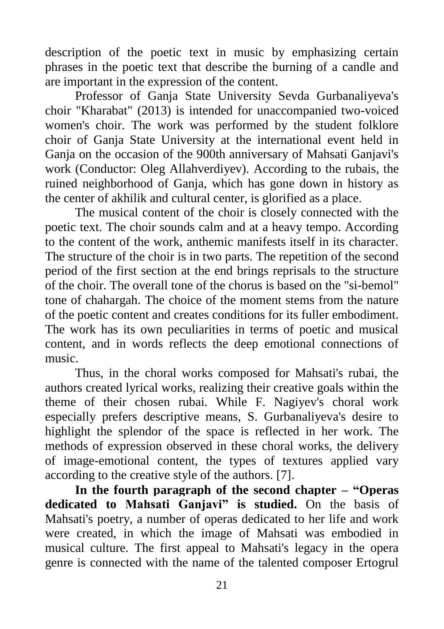description of the poetic text in music by emphasizing certain phrases in the poetic text that describe the burning of a candle and are important in the expression of the content.

Professor of Ganja State University Sevda Gurbanaliyeva's choir "Kharabat" (2013) is intended for unaccompanied two-voiced women's choir. The work was performed by the student folklore choir of Ganja State University at the international event held in Ganja on the occasion of the 900th anniversary of Mahsati Ganjavi's work (Conductor: Oleg Allahverdiyev). According to the rubais, the ruined neighborhood of Ganja, which has gone down in history as the center of akhilik and cultural center, is glorified as a place.

The musical content of the choir is closely connected with the poetic text. The choir sounds calm and at a heavy tempo. According to the content of the work, anthemic manifests itself in its character. The structure of the choir is in two parts. The repetition of the second period of the first section at the end brings reprisals to the structure of the choir. The overall tone of the chorus is based on the "si-bemol" tone of chahargah. The choice of the moment stems from the nature of the poetic content and creates conditions for its fuller embodiment. The work has its own peculiarities in terms of poetic and musical content, and in words reflects the deep emotional connections of music.

Thus, in the choral works composed for Mahsati's rubai, the authors created lyrical works, realizing their creative goals within the theme of their chosen rubai. While F. Nagiyev's choral work especially prefers descriptive means, S. Gurbanaliyeva's desire to highlight the splendor of the space is reflected in her work. The methods of expression observed in these choral works, the delivery of image-emotional content, the types of textures applied vary according to the creative style of the authors. [7].

**In the fourth paragraph of the second chapter – "Operas dedicated to Mahsati Ganjavi" is studied.** On the basis of Mahsati's poetry, a number of operas dedicated to her life and work were created, in which the image of Mahsati was embodied in musical culture. The first appeal to Mahsati's legacy in the opera genre is connected with the name of the talented composer Ertogrul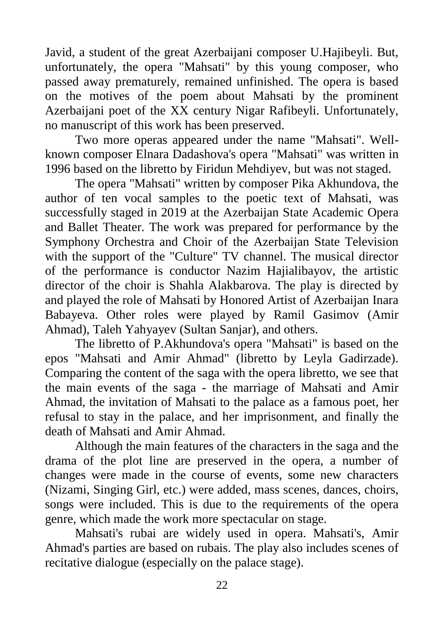Javid, a student of the great Azerbaijani composer U.Hajibeyli. But, unfortunately, the opera "Mahsati" by this young composer, who passed away prematurely, remained unfinished. The opera is based on the motives of the poem about Mahsati by the prominent Azerbaijani poet of the XX century Nigar Rafibeyli. Unfortunately, no manuscript of this work has been preserved.

Two more operas appeared under the name "Mahsati". Wellknown composer Elnara Dadashova's opera "Mahsati" was written in 1996 based on the libretto by Firidun Mehdiyev, but was not staged.

The opera "Mahsati" written by composer Pika Akhundova, the author of ten vocal samples to the poetic text of Mahsati, was successfully staged in 2019 at the Azerbaijan State Academic Opera and Ballet Theater. The work was prepared for performance by the Symphony Orchestra and Choir of the Azerbaijan State Television with the support of the "Culture" TV channel. The musical director of the performance is conductor Nazim Hajialibayov, the artistic director of the choir is Shahla Alakbarova. The play is directed by and played the role of Mahsati by Honored Artist of Azerbaijan Inara Babayeva. Other roles were played by Ramil Gasimov (Amir Ahmad), Taleh Yahyayev (Sultan Sanjar), and others.

The libretto of P.Akhundova's opera "Mahsati" is based on the epos "Mahsati and Amir Ahmad" (libretto by Leyla Gadirzade). Comparing the content of the saga with the opera libretto, we see that the main events of the saga - the marriage of Mahsati and Amir Ahmad, the invitation of Mahsati to the palace as a famous poet, her refusal to stay in the palace, and her imprisonment, and finally the death of Mahsati and Amir Ahmad.

Although the main features of the characters in the saga and the drama of the plot line are preserved in the opera, a number of changes were made in the course of events, some new characters (Nizami, Singing Girl, etc.) were added, mass scenes, dances, choirs, songs were included. This is due to the requirements of the opera genre, which made the work more spectacular on stage.

Mahsati's rubai are widely used in opera. Mahsati's, Amir Ahmad's parties are based on rubais. The play also includes scenes of recitative dialogue (especially on the palace stage).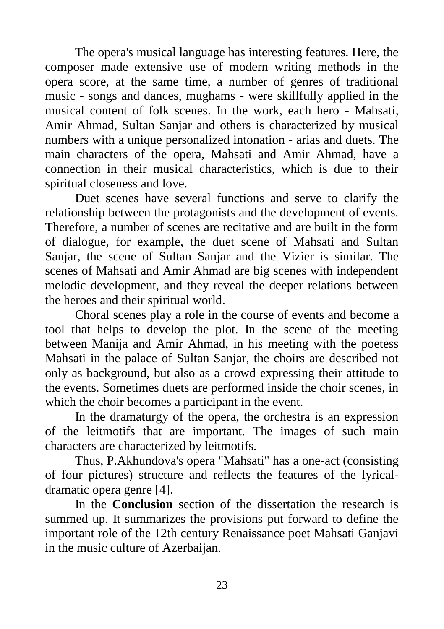The opera's musical language has interesting features. Here, the composer made extensive use of modern writing methods in the opera score, at the same time, a number of genres of traditional music - songs and dances, mughams - were skillfully applied in the musical content of folk scenes. In the work, each hero - Mahsati, Amir Ahmad, Sultan Sanjar and others is characterized by musical numbers with a unique personalized intonation - arias and duets. The main characters of the opera, Mahsati and Amir Ahmad, have a connection in their musical characteristics, which is due to their spiritual closeness and love.

Duet scenes have several functions and serve to clarify the relationship between the protagonists and the development of events. Therefore, a number of scenes are recitative and are built in the form of dialogue, for example, the duet scene of Mahsati and Sultan Sanjar, the scene of Sultan Sanjar and the Vizier is similar. The scenes of Mahsati and Amir Ahmad are big scenes with independent melodic development, and they reveal the deeper relations between the heroes and their spiritual world.

Choral scenes play a role in the course of events and become a tool that helps to develop the plot. In the scene of the meeting between Manija and Amir Ahmad, in his meeting with the poetess Mahsati in the palace of Sultan Sanjar, the choirs are described not only as background, but also as a crowd expressing their attitude to the events. Sometimes duets are performed inside the choir scenes, in which the choir becomes a participant in the event.

In the dramaturgy of the opera, the orchestra is an expression of the leitmotifs that are important. The images of such main characters are characterized by leitmotifs.

Thus, P.Akhundova's opera "Mahsati" has a one-act (consisting of four pictures) structure and reflects the features of the lyricaldramatic opera genre [4].

In the **Conclusion** section of the dissertation the research is summed up. It summarizes the provisions put forward to define the important role of the 12th century Renaissance poet Mahsati Ganjavi in the music culture of Azerbaijan.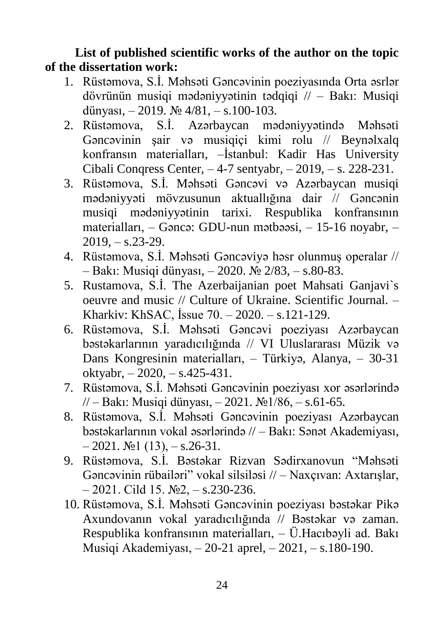**List of published scientific works of the author on the topic of the dissertation work:**

- 1. Rüstəmova, S.İ. Məhsəti Gəncəvinin poeziyasında Orta əsrlər dövrünün musiqi mədəniyyətinin tədqiqi // – Bakı: Musiqi dünyası,  $-2019$ .  $\mathbb{N} \times 4/81$ ,  $- s.100 - 103$ .
- 2. Rüstəmova, S.İ. Azərbaycan mədəniyyətində Məhsəti Gəncəvinin şair və musiqiçi kimi rolu // Beynəlxalq konfransın materialları, –İstanbul: Kadir Has University Cibali Conqress Center, – 4-7 sentyabr, – 2019, – s. 228-231.
- 3. Rüstəmova, S.İ. Məhsəti Gəncəvi və Azərbaycan musiqi mədəniyyəti mövzusunun aktuallığına dair // Gəncənin musiqi mədəniyyətinin tarixi. Respublika konfransının materialları, – Gəncə: GDU-nun mətbəəsi, – 15-16 noyabr, –  $2019, -s.23-29.$
- 4. Rüstəmova, S.İ. Məhsəti Gəncəviyə həsr olunmuş operalar // – Bakı: Musiqi dünyası, – 2020. № 2/83, – s.80-83.
- 5. Rustamova, S.İ. The Azerbaijanian poet Mahsati Ganjavi`s oeuvre and music // Culture of Ukraine. Scientific Journal. – Kharkiv: KhSAC, İssue 70. – 2020. – s.121-129.
- 6. Rüstəmova, S.İ. Məhsəti Gəncəvi poeziyası Azərbaycan bəstəkarlarının yaradıcılığında // VI Uluslararası Müzik və Dans Kongresinin materialları, – Türkiyə, Alanya, – 30-31 oktyabr, – 2020, – s.425-431.
- 7. Rüstəmova, S.İ. Məhsəti Gəncəvinin poeziyası xor əsərlərində // – Bakı: Musiqi dünyası, – 2021. №1/86, – s.61-65.
- 8. Rüstəmova, S.İ. Məhsəti Gəncəvinin poeziyası Azərbaycan bəstəkarlarının vokal əsərlərində // – Bakı: Sənət Akademiyası,  $-2021. \text{ N} \text{ol} (13)$ ,  $- s.26-31.$
- 9. Rüstəmova, S.İ. Bəstəkar Rizvan Sədirxanovun "Məhsəti Gəncəvinin rübailəri" vokal silsiləsi // – Naxçıvan: Axtarışlar,  $-2021$ . Cild 15.  $\mathbb{N}^2$ ,  $-$  s.230-236.
- 10. Rüstəmova, S.İ. Məhsəti Gəncəvinin poeziyası bəstəkar Pikə Axundovanın vokal yaradıcılığında // Bəstəkar və zaman. Respublika konfransının materialları, – Ü.Hacıbəyli ad. Bakı Musiqi Akademiyası, – 20-21 aprel, – 2021, – s.180-190.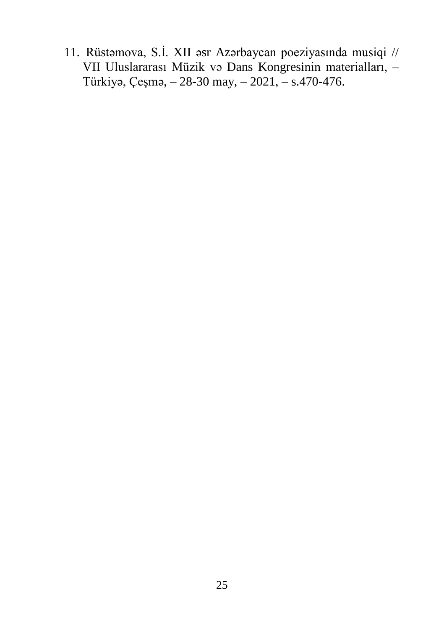11. Rüstəmova, S.İ. XII əsr Azərbaycan poeziyasında musiqi // VII Uluslararası Müzik və Dans Kongresinin materialları, – Türkiyə, Çeşmə, – 28-30 may, – 2021, – s.470-476.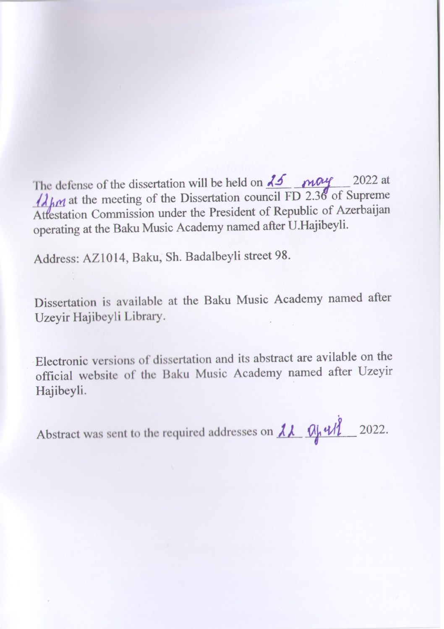The defense of the dissertation will be held on  $\overline{\lambda}$   $\overline{\lambda}$   $\overline{\lambda}$   $\overline{\mu}$  at  $\lambda_{mn}$  at the meeting of the Dissertation council FD 2.36 of Supreme Attestation Commission under the President of Republic of Azerbaijan operating at the Baku Music Academy named after U.Hajibeyli.

Address: AZ1014, Baku, Sh. Badalbeyli street 98.

Dissertation is available at the Baku Music Academy named after Uzeyir Hajibeyli Library.

Electronic versions of dissertation and its abstract are avilable on the official website of the Baku Music Academy named after Uzeyir Hajibeyli.

Abstract was sent to the required addresses on  $\lambda \lambda$   $\alpha$   $\mu$   $\ell$   $\ell$  2022.